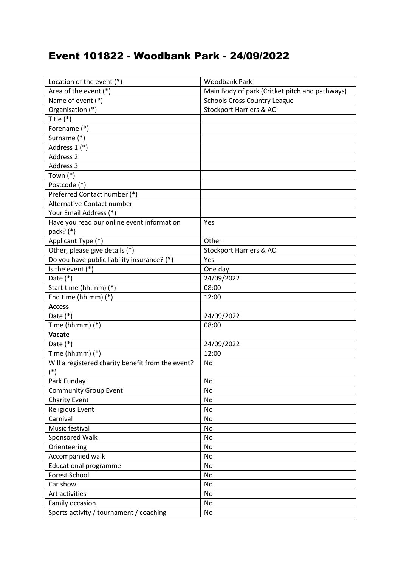## Event 101822 - Woodbank Park - 24/09/2022

| Location of the event (*)                         | <b>Woodbank Park</b>                           |
|---------------------------------------------------|------------------------------------------------|
| Area of the event (*)                             | Main Body of park (Cricket pitch and pathways) |
| Name of event (*)                                 | <b>Schools Cross Country League</b>            |
| Organisation (*)                                  | <b>Stockport Harriers &amp; AC</b>             |
| Title $(*)$                                       |                                                |
| Forename (*)                                      |                                                |
| Surname (*)                                       |                                                |
| Address 1 (*)                                     |                                                |
| Address 2                                         |                                                |
| Address 3                                         |                                                |
| Town $(*)$                                        |                                                |
| Postcode (*)                                      |                                                |
| Preferred Contact number (*)                      |                                                |
| Alternative Contact number                        |                                                |
| Your Email Address (*)                            |                                                |
| Have you read our online event information        | Yes                                            |
| pack? (*)                                         |                                                |
| Applicant Type (*)                                | Other                                          |
| Other, please give details (*)                    | <b>Stockport Harriers &amp; AC</b>             |
| Do you have public liability insurance? (*)       | Yes                                            |
| Is the event $(*)$                                | One day                                        |
| Date $(*)$                                        | 24/09/2022                                     |
| Start time (hh:mm) (*)                            | 08:00                                          |
| End time (hh:mm) (*)                              | 12:00                                          |
| <b>Access</b>                                     |                                                |
| Date $(*)$                                        | 24/09/2022                                     |
| Time (hh:mm) $(*)$                                | 08:00                                          |
| Vacate                                            |                                                |
| Date $(*)$                                        | 24/09/2022                                     |
| Time (hh:mm) $(*)$                                | 12:00                                          |
| Will a registered charity benefit from the event? | No                                             |
| $(*)$                                             |                                                |
| Park Funday                                       | No                                             |
| <b>Community Group Event</b>                      | <b>No</b>                                      |
| <b>Charity Event</b>                              | No                                             |
| <b>Religious Event</b>                            | No                                             |
| Carnival                                          | No                                             |
| Music festival                                    | No                                             |
| Sponsored Walk                                    | No                                             |
| Orienteering                                      | No                                             |
| Accompanied walk                                  | No                                             |
| <b>Educational programme</b>                      | No                                             |
| <b>Forest School</b>                              | No                                             |
| Car show                                          | No                                             |
| Art activities                                    | No                                             |
| Family occasion                                   | No                                             |
| Sports activity / tournament / coaching           | No                                             |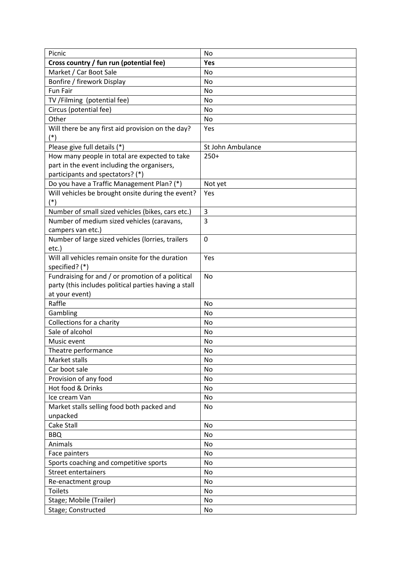| Picnic                                                | No                |
|-------------------------------------------------------|-------------------|
| Cross country / fun run (potential fee)               | Yes               |
| Market / Car Boot Sale                                | No                |
| Bonfire / firework Display                            | No                |
| Fun Fair                                              | No                |
| TV /Filming (potential fee)                           | No                |
| Circus (potential fee)                                | No                |
| Other                                                 | No                |
| Will there be any first aid provision on the day?     | Yes               |
| $(*)$                                                 |                   |
| Please give full details (*)                          | St John Ambulance |
| How many people in total are expected to take         | $250+$            |
| part in the event including the organisers,           |                   |
| participants and spectators? (*)                      |                   |
| Do you have a Traffic Management Plan? (*)            | Not yet           |
| Will vehicles be brought onsite during the event?     | Yes               |
| $(*)$                                                 |                   |
| Number of small sized vehicles (bikes, cars etc.)     | 3                 |
| Number of medium sized vehicles (caravans,            | $\overline{3}$    |
| campers van etc.)                                     |                   |
| Number of large sized vehicles (lorries, trailers     | $\mathbf 0$       |
| etc.)                                                 |                   |
| Will all vehicles remain onsite for the duration      | Yes               |
| specified? (*)                                        |                   |
| Fundraising for and / or promotion of a political     | No                |
| party (this includes political parties having a stall |                   |
| at your event)                                        |                   |
| Raffle                                                | No                |
| Gambling                                              | No                |
| Collections for a charity                             | No                |
| Sale of alcohol                                       | No                |
| Music event                                           | No                |
| Theatre performance                                   | No                |
| Market stalls                                         | No                |
| Car boot sale                                         | No                |
| Provision of any food                                 | No                |
| Hot food & Drinks                                     | No                |
| Ice cream Van                                         | No                |
| Market stalls selling food both packed and            | No                |
| unpacked                                              |                   |
| Cake Stall                                            | No                |
| <b>BBQ</b>                                            | No                |
| Animals                                               | No                |
| Face painters                                         | No                |
| Sports coaching and competitive sports                | <b>No</b>         |
| <b>Street entertainers</b>                            | No                |
| Re-enactment group                                    | No                |
| <b>Toilets</b>                                        | No                |
| Stage; Mobile (Trailer)                               | No                |
| Stage; Constructed                                    | No                |